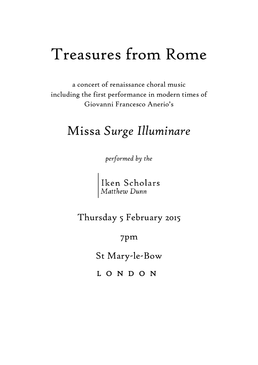# Treasures from Rome

a concert of renaissance choral music including the first performance in modern times of Giovanni Francesco Anerio's

## Missa *Surge Illuminare*

*performed by the*

Iken Scholars<br>Matthew Dunn

Thursday 5 February 2015

7pm

St Mary-le-Bow

L O N D O N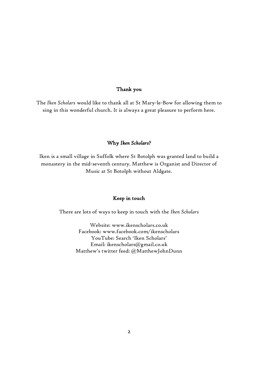#### Thank you

The *Iken Scholars* would like to thank all at St Mary-le-Bow for allowing them to sing in this wonderful church. It is always a great pleasure to perform here.

#### Why *Iken Scholars*?

Iken is a small village in Suffolk where St Botolph was granted land to build a monastery in the mid-seventh century. Matthew is Organist and Director of Music at St Botolph without Aldgate.

#### Keep in touch

There are lots of ways to keep in touch with the *Iken Scholars*

Website: www.ikenscholars.co.uk Facebook: www.facebook.com/ikenscholars YouTube: Search 'Iken Scholars' Email: ikenscholars@gmail.co.uk Matthew's twitter feed: @MatthewJohnDunn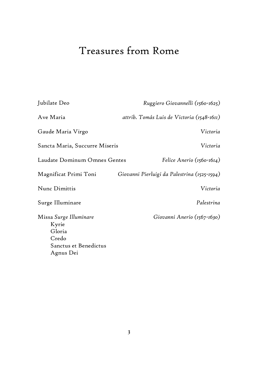## Treasures from Rome

| Jubilate Deo                                                                             | Ruggiero Giovannelli (1560-1625)             |
|------------------------------------------------------------------------------------------|----------------------------------------------|
| Ave Maria                                                                                | attrib. Tomás Luis de Victoria (1548-1611)   |
| Gaude Maria Virgo                                                                        | Victoria                                     |
| Sancta Maria, Succurre Miseris                                                           | Victoria                                     |
| Laudate Dominum Omnes Gentes                                                             | Felice Anerio (1560-1614)                    |
| Magnificat Primi Toni                                                                    | Giovanni Pierluigi da Palestrina (1525-1594) |
| Nunc Dimittis                                                                            | Victoria                                     |
| Surge Illuminare                                                                         | Palestrina                                   |
| Missa Surge Illuminare<br>Kyrie<br>Gloria<br>Credo<br>Sanctus et Benedictus<br>Agnus Dei | Giovanni Anerio (1567-1630)                  |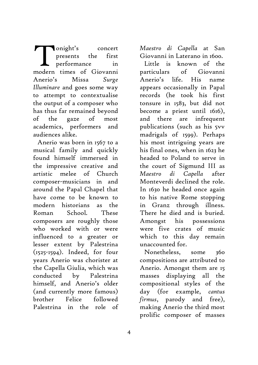onight's concert presents the first performance in onight's concert<br>presents the first<br>performance in<br>modern times of Giovanni Anerio's Missa *Surge Illuminare* and goes some way to attempt to contextualise the output of a composer who has thus far remained beyond of the gaze of most academics, performers and audiences alike.

Anerio was born in 1567 to a musical family and quickly found himself immersed in the impressive creative and artistic melee of Church composer-musicians in and around the Papal Chapel that have come to be known to modern historians as the Roman School. These composers are roughly those who worked with or were influenced to a greater or lesser extent by Palestrina (1525-1594). Indeed, for four years Anerio was chorister at the Capella Giulia, which was conducted by Palestrina himself, and Anerio's older (and currently more famous) brother Felice followed Palestrina in the role of

*Maestro di Capella* at San Giovanni in Laterano in 1600.

Little is known of the particulars of Giovanni Anerio's life. His name appears occasionally in Papal records (he took his first tonsure in 1583, but did not become a priest until 1616), and there are infrequent publications (such as his 5vv madrigals of 1599). Perhaps his most intriguing years are his final ones, when in 1623 he headed to Poland to serve in the court of Sigmund III as *Maestro di Capella* after Monteverdi declined the role. In 1630 he headed once again to his native Rome stopping in Granz through illness. There he died and is buried. Amongst his possessions were five crates of music which to this day remain unaccounted for.

Nonetheless, some 360 compositions are attributed to Anerio. Amongst them are 15 masses displaying all the compositional styles of the day (for example, *cantus firmus*, parody and free), making Anerio the third most prolific composer of masses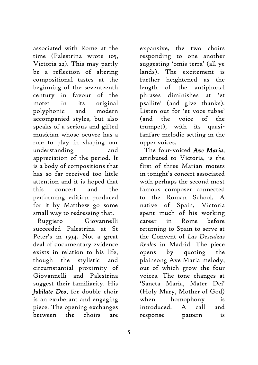associated with Rome at the time (Palestrina wrote 105, Victoria 22). This may partly be a reflection of altering compositional tastes at the beginning of the seventeenth century in favour of the motet in its original polyphonic and modern accompanied styles, but also speaks of a serious and gifted musician whose oeuvre has a role to play in shaping our understanding and appreciation of the period. It is a body of compositions that has so far received too little attention and it is hoped that this concert and the performing edition produced for it by Matthew go some small way to redressing that.

Ruggiero Giovannelli succeeded Palestrina at St Peter's in 1594. Not a great deal of documentary evidence exists in relation to his life, though the stylistic and circumstantial proximity of Giovannelli and Palestrina suggest their familiarity. His *Jubilate Deo*, for double choir is an exuberant and engaging piece. The opening exchanges between the choirs are

5

expansive, the two choirs responding to one another suggesting 'omis terra' (all ye lands). The excitement is further heightened as the length of the antiphonal phrases diminishes at 'et psallite' (and give thanks). Listen out for 'et voce tubae' (and the voice of the trumpet), with its quasifanfare melodic setting in the upper voices.

The four-voiced *Ave Maria*, attributed to Victoria, is the first of three Marian motets in tonight's concert associated with perhaps the second most famous composer connected to the Roman School. A native of Spain, Victoria spent much of his working career in Rome before returning to Spain to serve at the Convent of *Las Descalzas Reales* in Madrid. The piece opens by quoting the plainsong Ave Maria melody, out of which grow the four voices. The tone changes at 'Sancta Maria, Mater Dei' (Holy Mary, Mother of God) when homophony is introduced. A call and response pattern is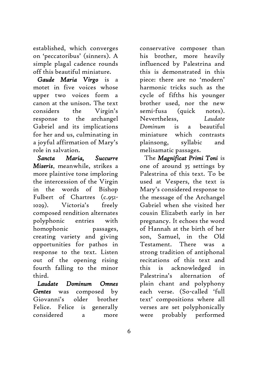established, which converges on 'peccatoribus' (sinners). A simple plagal cadence rounds off this beautiful miniature.

*Gaude Maria Virgo* is a motet in five voices whose upper two voices form a canon at the unison. The text considers the Virgin's response to the archangel Gabriel and its implications for her and us, culminating in a joyful affirmation of Mary's role in salvation.

*Sancta Maria, Succurre Miseris*, meanwhile, strikes a more plaintive tone imploring the intercession of the Virgin in the words of Bishop Fulbert of Chartres (c.951- 1029). Victoria's freely composed rendition alternates polyphonic entries with homophonic passages, creating variety and giving opportunities for pathos in response to the text. Listen out of the opening rising fourth falling to the minor third.

*Laudate Dominum Omnes Gentes* was composed by Giovanni's older brother Felice. Felice is generally considered a more conservative composer than his brother, more heavily influenced by Palestrina and this is demonstrated in this piece: there are no 'modern' harmonic tricks such as the cycle of fifths his younger brother used, nor the new semi-fusa (quick notes). Nevertheless, *Laudate Dominum* is a beautiful miniature which contrasts plainsong, syllabic and melisamatic passages.

The *Magnificat Primi Toni* is one of around 35 settings by Palestrina of this text. To be used at Vespers, the text is Mary's considered response to the message of the Archangel Gabriel when she visited her cousin Elizabeth early in her pregnancy. It echoes the word of Hannah at the birth of her son, Samuel, in the Old Testament. There was strong tradition of antiphonal recitations of this text and this is acknowledged in Palestrina's alternation of plain chant and polyphony each verse. (So-called 'full text' compositions where all verses are set polyphonically were probably performed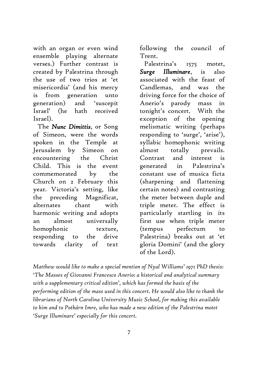with an organ or even wind ensemble playing alternate verses.) Further contrast is created by Palestrina through the use of two trios at 'et misericordia' (and his mercy is from generation unto generation) and 'suscepit Israel' (he hath received Israel).

The *Nunc Dimittis*, or Song of Simeon, were the words spoken in the Temple at Jerusalem by Simeon on encountering the Christ Child. This is the event commemorated by the Church on 2 February this year. Victoria's setting, like the preceding Magnificat, alternates chant with harmonic writing and adopts an almost universally homophonic texture, responding to the drive towards clarity of text

following the council of Trent.

Palestrina's 1575 motet, *Surge Illuminare*, is also associated with the feast of Candlemas, and was the driving force for the choice of Anerio's parody mass in tonight's concert. With the exception of the opening melismatic writing (perhaps responding to 'surge', 'arise'), syllabic homophonic writing almost totally prevails. Contrast and interest is generated in Palestrina's constant use of musica ficta (sharpening and flattening certain notes) and contrasting the meter between duple and triple meter. The effect is particularly startling in its first use when triple meter (tempus perfectum to Palestrina) breaks out at 'et gloria Domini' (and the glory of the Lord).

*Matthew would like to make a special mention of Nyal Williams' 1971 PhD thesis: 'The Masses of Giovanni Francesco Anerio: a historical and analytical summary with a supplementary critical edition', which has formed the basis of the performing edition of the mass used in this concert. He would also like to thank the librarians of North Carolina University Music School, for making this available to him and to Pothárn Imre, who has made a new edition of the Palestrina motet 'Surge Illuminare' especially for this concert.*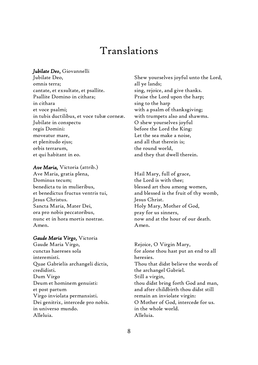### Translations

#### *Jubilate Deo*, Giovannelli

Jubilate Deo, omnis terra; cantate, et exsultate, et psallite. Psallite Domino in cithara; in cithara et voce psalmi; in tubis ductilibus, et voce tubæ corneæ. Jubilate in conspectu regis Domini: moveatur mare, et plenitudo ejus; orbis terrarum, et qui habitant in eo.

#### *Ave Maria,* Victoria (attrib.)

Ave Maria, gratia plena, Dominus tecum; benedicta tu in mulieribus, et benedictus fructus ventris tui, Jesus Christus. Sancta Maria, Mater Dei, ora pro nobis peccatoribus, nunc et in hora mortis nostrae. Amen.

#### *Gaude Maria Virgo,* Victoria

Gaude Maria Virgo, cunctas haereses sola interemisti. Quae Gabrielis archangeli dictis, credidisti. Dum Virgo Deum et hominem genuisti: et post partum Virgo inviolata permansisti. Dei genitrix, intercede pro nobis. in universo mundo. Alleluia.

Shew yourselves joyful unto the Lord, all ye lands; sing, rejoice, and give thanks. Praise the Lord upon the harp; sing to the harp with a psalm of thanksgiving; with trumpets also and shawms. O shew yourselves joyful before the Lord the King: Let the sea make a noise, and all that therein is; the round world, and they that dwell therein.

Hail Mary, full of grace, the Lord is with thee; blessed art thou among women, and blessed is the fruit of thy womb, Jesus Christ. Holy Mary, Mother of God, pray for us sinners, now and at the hour of our death. Amen.

Rejoice, O Virgin Mary, for alone thou hast put an end to all heresies. Thou that didst believe the words of the archangel Gabriel. Still a virgin, thou didst bring forth God and man, and after childbirth thou didst still remain an inviolate virgin: O Mother of God, intercede for us. in the whole world. Alleluia.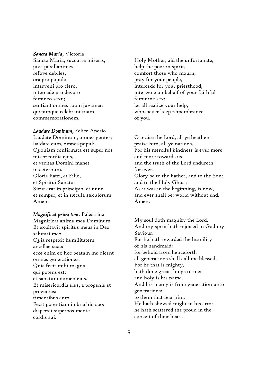#### *Sancta Maria*, Victoria

Sancta Maria, succurre miseris, juva pusillanimes, refove debiles, ora pro populo, interveni pro clero, intercede pro devoto femineo sexu; sentiant omnes tuum juvamen quicumque celebrant tuam commemorationem.

*Laudate Dominum*, Felice Anerio Laudate Dominum, omnes gentes; laudate eum, omnes populi. Quoniam confirmata est super nos misericordia ejus, et veritas Domini manet in aeternum. Gloria Patri, et Filio, et Spiritui Sancto: Sicut erat in principio, et nunc, et semper, et in sæcula sæculorum. Amen.

*Magnificat primi toni,* Palestrina Magnificat anima mea Dominum. Et exultavit spiritus meus in Deo salutari meo. Quia respexit humilitatem ancillae suae: ecce enim ex hoc beatam me dicent omnes generationes. Quia fecit mihi magna, qui potens est: et sanctum nomen eius. Et misericordia eius, a progenie et progenies: timentibus eum. Fecit potentiam in brachio suo: dispersit superbos mente cordis sui.

Holy Mother, aid the unfortunate, help the poor in spirit, comfort those who mourn, pray for your people, intercede for your priesthood, intervene on behalf of your faithful feminine sex; let all realize your help, whosoever keep remembrance of you.

O praise the Lord, all ye heathen: praise him, all ye nations. For his merciful kindness is ever more and more towards us, and the truth of the Lord endureth for ever. Glory be to the Father, and to the Son: and to the Holy Ghost; As it was in the beginning, is now, and ever shall be: world without end. Amen.

My soul doth magnify the Lord. And my spirit hath rejoiced in God my Saviour. For he hath regarded the humility of his handmaid: for behold from henceforth all generations shall call me blessed. For he that is mighty, hath done great things to me: and holy is his name. And his mercy is from generation unto generations: to them that fear him. He hath shewed might in his arm: he hath scattered the proud in the conceit of their heart.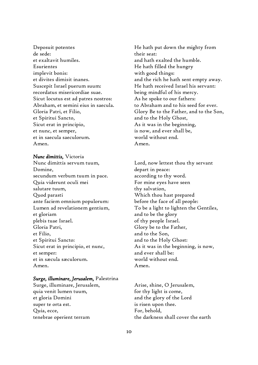Deposuit potentes de sede: et exaltavit humiles. Esurientes implevit bonis: et divites dimisit inanes. Suscepit Israel puerum suum: recordatus misericordiae suae. Sicut locutus est ad patres nostros: Abraham, et semini eius in saecula. Gloria Patri, et Filio, et Spiritui Sancto, Sicut erat in principio, et nunc, et semper, et in saecula saeculorum. Amen.

#### *Nunc dimittis,* Victoria

Nunc dimittis servum tuum, Domine, secundum verbum tuum in pace. Quia viderunt oculi mei salutare tuum, Quod parasti ante faciem omnium populorum: Lumen ad revelationem gentium, et gloriam plebis tuae Israel. Gloria Patri, et Filio, et Spiritui Sancto: Sicut erat in principio, et nunc, et semper: et in sæcula sæculorum. Amen.

#### *Surge, illuminare, Jerusalem,* Palestrina

Surge, illuminare, Jerusalem, quia venit lumen tuum, et gloria Domini super te orta est. Quia, ecce, tenebrae operient terram

He hath put down the mighty from their seat: and hath exalted the humble. He hath filled the hungry with good things: and the rich he hath sent empty away. He hath received Israel his servant: being mindful of his mercy. As he spoke to our fathers: to Abraham and to his seed for ever. Glory Be to the Father, and to the Son, and to the Holy Ghost, As it was in the beginning, is now, and ever shall be, world without end. Amen.

Lord, now lettest thou thy servant depart in peace: according to thy word. For mine eyes have seen thy salvation, Which thou hast prepared before the face of all people: To be a light to lighten the Gentiles, and to be the glory of thy people Israel. Glory be to the Father, and to the Son, and to the Holy Ghost: As it was in the beginning, is now, and ever shall be: world without end. Amen.

Arise, shine, O Jerusalem, for thy light is come, and the glory of the Lord is risen upon thee. For, behold, the darkness shall cover the earth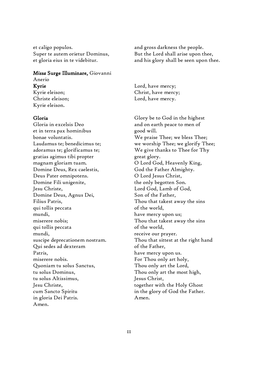et caligo populos. Super te autem orietur Dominus, et gloria eius in te videbitur.

#### *Missa* Surge Illuminare, Giovanni

#### Anerio Kyrie

Kyrie eleison; Christe eleison; Kyrie eleison.

#### Gloria

Gloria in excelsis Deo et in terra pax hominibus bonae voluntatis. Laudamus te; benedicimus te; adoramus te; glorificamus te; gratias agimus tibi propter magnam gloriam tuam. Domine Deus, Rex caelestis, Deus Pater omnipotens. Domine Fili unigenite, Jesu Christe, Domine Deus, Agnus Dei, Filius Patris, qui tollis peccata mundi, miserere nobis; qui tollis peccata mundi, suscipe deprecationem nostram. Qui sedes ad dexteram Patris, miserere nobis. Quoniam tu solus Sanctus, tu solus Dominus, tu solus Altissimus, Jesu Christe, cum Sancto Spiritu in gloria Dei Patris. Amen.

and gross darkness the people. But the Lord shall arise upon thee, and his glory shall be seen upon thee.

Lord, have mercy; Christ, have mercy; Lord, have mercy.

Glory be to God in the highest and on earth peace to men of good will. We praise Thee; we bless Thee; we worship Thee; we glorify Thee; We give thanks to Thee for Thy great glory. O Lord God, Heavenly King, God the Father Almighty. O Lord Jesus Christ, the only begotten Son. Lord God, Lamb of God, Son of the Father, Thou that takest away the sins of the world, have mercy upon us; Thou that takest away the sins of the world, receive our prayer. Thou that sittest at the right hand of the Father, have mercy upon us. For Thou only art holy, Thou only art the Lord, Thou only art the most high, Jesus Christ, together with the Holy Ghost in the glory of God the Father. Amen.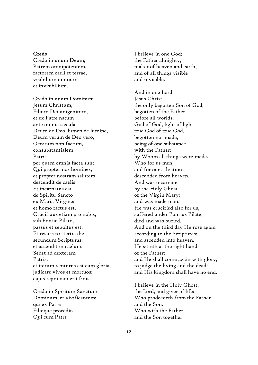#### Credo

Credo in unum Deum; Patrem omnipotentem, factorem caeli et terrae, visibilium omnium et invisibilium.

Credo in unum Dominum Jesum Christum, Filium Dei unigenitum, et ex Patre natum ante omnia sæcula. Deum de Deo, lumen de lumine, Deum verum de Deo vero, Genitum non factum, consubstantialem Patri: per quem omnia facta sunt. Qui propter nos homines, et propter nostram salutem descendit de caelis. Et incarnatus est de Spiritu Sancto ex Maria Virgine: et homo factus est. Crucifixus etiam pro nobis, sub Pontio Pilato, passus et sepultus est. Et resurrexit tertia die secundum Scripturas: et ascendit in caelum. Sedet ad dexteram Patris: et iterum venturus est cum gloria, judicare vivos et mortuos: cujus regni non erit finis.

Credo in Spiritum Sanctum, Dominum, et vivificantem: qui ex Patre Filioque procedit. Qui cum Patre

I believe in one God; the Father almighty, maker of heaven and earth, and of all things visible and invisible.

And in one Lord Jesus Christ, the only begotten Son of God, begotten of the Father before all worlds. God of God, light of light, true God of true God, begotten not made, being of one substance with the Father: by Whom all things were made. Who for us men, and for our salvation descended from heaven. And was incarnate by the Holy Ghost of the Virgin Mary: and was made man. He was crucified also for us, suffered under Pontius Pilate, died and was buried. And on the third day He rose again according to the Scriptures: and ascended into heaven. He sitteth at the right hand of the Father: and He shall come again with glory, to judge the living and the dead: and His kingdom shall have no end.

I believe in the Holy Ghost, the Lord, and giver of life: Who prodeedeth from the Father and the Son. Who with the Father and the Son together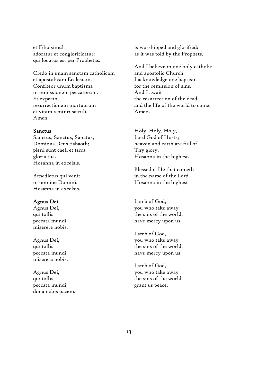et Filio simul adoratur et conglorificatur: qui locutus est per Prophetas.

Credo in unam sanctam catholicam et apostolicam Ecclesiam. Confiteor unum baptisma in remissionem peccatorum. Et expecto resurrectionem mortuorum et vitam venturi sæculi. Amen.

#### Sanctus

Sanctus, Sanctus, Sanctus, Dominus Deus Sabaoth; pleni sunt caeli et terra gloria tua. Hosanna in excelsis.

Benedictus qui venit in nomine Domini. Hosanna in excelsis.

#### Agnus Dei

Agnus Dei, qui tollis peccata mundi, miserere nobis.

Agnus Dei, qui tollis peccata mundi, miserere nobis.

Agnus Dei, qui tollis peccata mundi, dona nobis pacem. is worshipped and glorified: as it was told by the Prophets.

And I believe in one holy catholic and apostolic Church. I acknowledge one baptism for the remission of sins. And I await the resurrection of the dead and the life of the world to come. Amen.

Holy, Holy, Holy, Lord God of Hosts; heaven and earth are full of Thy glory. Hosanna in the highest.

Blessed is He that cometh in the name of the Lord. Hosanna in the highest

Lamb of God, you who take away the sins of the world, have mercy upon us.

Lamb of God, you who take away the sins of the world, have mercy upon us.

Lamb of God, you who take away the sins of the world, grant us peace.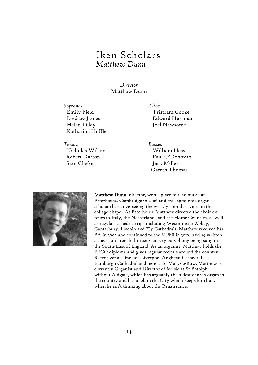# Iken Scholars<br>Matthew Dunn

#### *Director* Matthew Dunn

*Sopranos Altos* Emily Field Lindsey James Helen Lilley Katharina Höffler

*Tenors Basses* Nicholas Wilson Robert Dufton Sam Clarke

Tristram Cooke Edward Horsman Joel Newsome

William Hess Paul O'Donovan Jack Miller Gareth Thomas



Matthew Dunn, director, won a place to read music at Peterhouse, Cambridge in 2006 and was appointed organ scholar there, overseeing the weekly choral services in the college chapel. At Peterhouse Matthew directed the choir on tours to Italy, the Netherlands and the Home Counties, as well as regular cathedral trips including Westminster Abbey, Canterbury, Lincoln and Ely Cathedrals. Matthew received his BA in 2009 and continued to the MPhil in 2010, having written a thesis on French thirteen-century polyphony being sung in the South-East of England. As an organist, Matthew holds the FRCO diploma and gives regular recitals around the country. Recent venues include Liverpool Anglican Cathedral, Edinburgh Cathedral and here at St Mary-le-Bow. Matthew is currently Organist and Director of Music at St Botolph without Aldgate, which has arguably the oldest church organ in the country and has a job in the City which keeps him busy when he isn't thinking about the Renaissance.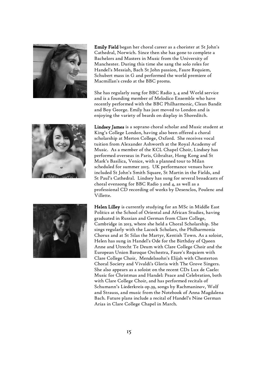

Emily Field began her choral career as a chorister at St John's Cathedral, Norwich. Since then she has gone to complete a Bachelors and Masters in Music from the University of Manchester. During this time she sang the solo roles for Handel's Messiah, Bach St John passion, Faure Requiem, Schubert mass in G and performed the world premiere of Macmillan's credo at the BBC proms.

She has regularly sung for BBC Radio 3, 4 and World service and is a founding member of Melodico Ensemble who have recently performed with the BBC Philharmonic, Clean Bandit and Boy George. Emily has just moved to London and is enjoying the variety of beards on display in Shoreditch.



Lindsey James is a soprano choral scholar and Music student at King's College London, having also been offered a choral scholarship at Merton College, Oxford. She receives vocal tuition from Alexander Ashworth at the Royal Academy of Music. As a member of the KCL Chapel Choir, Lindsey has performed overseas in Paris, Gibraltar, Hong Kong and St Mark's Basilica, Venice, with a planned tour to Milan scheduled for summer 2015. UK performance venues have included St John's Smith Square, St Martin in the Fields, and St Paul's Cathedral. Lindsey has sung for several broadcasts of choral evensong for BBC Radio 3 and 4, as well as a professional CD recording of works by Desenclos, Poulenc and Villette.



Helen Lilley is currently studying for an MSc in Middle East Politics at the School of Oriental and African Studies, having graduated in Russian and German from Clare College, Cambridge in 2013, where she held a Choral Scholarship. She sings regularly with the Lacock Scholars, the Philharmonia Chorus and at St Silas the Martyr, Kentish Town. As a soloist, Helen has sung in Handel's Ode for the Birthday of Queen Anne and Utrecht Te Deum with Clare College Choir and the European Union Baroque Orchestra, Faure's Requiem with Clare College Choir, Mendelssohn's Elijah with Chesterton Choral Society and Vivaldi's Gloria with The Grove Singers. She also appears as a soloist on the recent CDs Lux de Caelo: Music for Christmas and Handel: Peace and Celebration, both with Clare College Choir, and has performed recitals of Schumann's Liederkreis op.39, songs by Rachmaninov, Wolf and Strauss, and music from the Notebook of Anna Magdalena Bach. Future plans include a recital of Handel's Nine German Arias in Clare College Chapel in March.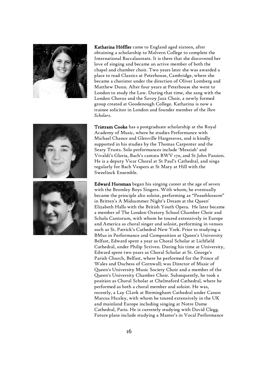





Katharina Höffler came to England aged sixteen, after obtaining a scholarship to Malvern College to complete the International Baccalaureate. It is there that she discovered her love of singing and became an active member of both the chapel and chamber choir. Two years later she was awarded a place to read Classics at Peterhouse, Cambridge, where she became a chorister under the direction of Oliver Lomberg and Matthew Dunn. After four years at Peterhouse she went to London to study the Law. During that time, she sang with the London Chorus and the Savoy Jazz Choir, a newly formed group created at Goodenough College. Katharina is now a trainee solicitor in London and founder member of the *Iken Scholars*.

Tristram Cooke has a postgraduate scholarship at the Royal Academy of Music, where he studies Performance with Michael Chance and Glenville Hargreaves, and is kindly supported in his studies by the Thomas Carpenter and the Seary Trusts. Solo performances include 'Messiah' and Vivaldi's Gloria, Bach's cantata BWV 170, and St John Passion. He is a deputy Vicar Choral at St Paul's Cathedral, and sings regularly for Bach Vespers at St Mary at Hill with the Sweelinck Ensemble.

Edward Horsman began his singing career at the age of seven with the Bromley Boys Singers. With whom, he eventually became the principle alto soloist, performing as "Peaseblossom" in Britten's A Midsummer Night's Dream at the Queen' Elizabeth Halls with the British Youth Opera. He later became a member of The London Oratory School Chamber Choir and Schola Cantorum, with whom he toured extensively in Europe and America as choral singer and soloist, performing in venues such as St. Patrick's Cathedral New York. Prior to studying a BMus in Performance and Composition at Queen's University Belfast, Edward spent a year as Choral Scholar at Lichfield Cathedral, under Philip Scriven. During his time at University, Edward spent two years as Choral Scholar at St. George's Parish Church, Belfast, where he performed for the Prince of Wales and Duchess of Cornwall; was Director of Music of Queen's University Music Society Choir and a member of the Queen's University Chamber Choir. Subsequently, he took a position as Choral Scholar at Chelmsford Cathedral, where he performed as both a choral member and soloist. He was, recently, a Lay CLerk at Birmingham Cathedral under Canon Marcus Huxley, with whom he toured extensively in the UK and mainland Europe including singing at Notre Dame Cathedral, Paris. He is currently studying with David Clegg. Future plans include studying a Master's in Vocal Performance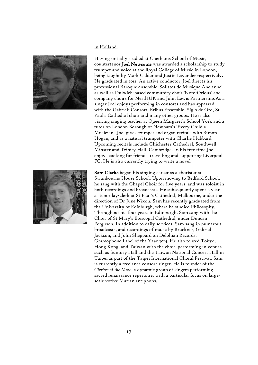

in Holland.

Having initially studied at Chethams School of Music, countertenor Joel Newsome was awarded a scholarship to study trumpet and voice at the Royal College of Music in London, being taught by Mark Calder and Justin Lavender respectively. He graduated in 2012. An active conductor, Joel directs his professional Baroque ensemble 'Solistes de Musique Ancienne' as well as Dulwich-based community choir 'Note-Orious' and company choirs for NestléUK and John Lewis Partnership.As a singer Joel enjoys performing in consorts and has appeared with the Gabrieli Consort, Eribus Ensemble, Siglo de Oro, St Paul's Cathedral choir and many other groups. He is also visiting singing teacher at Queen Margaret's School York and a tutor on London Borough of Newham's 'Every Child a Musician'. Joel gives trumpet and organ recitals with Simon Hogan, and as a natural trumpeter with Charlie Hubbard. Upcoming recitals include Chichester Cathedral, Southwell Minster and Trinity Hall, Cambridge. In his free time Joel enjoys cooking for friends, travelling and supporting Liverpool FC. He is also currently trying to write a novel.



Sam Clarke began his singing career as a chorister at Swanbourne House School. Upon moving to Bedford School, he sang with the Chapel Choir for five years, and was soloist in both recordings and broadcasts. He subsequently spent a year as tenor lay-clerk at St Paul's Cathedral, Melbourne, under the direction of Dr June Nixon. Sam has recently graduated from the University of Edinburgh, where he studied Philosophy. Throughout his four years in Edinburgh, Sam sang with the Choir of St Mary's Episcopal Cathedral, under Duncan Ferguson. In addition to daily services, Sam sang in numerous broadcasts, and recordings of music by Bruckner, Gabriel Jackson, and John Sheppard on Delphian Records, Gramophone Label of the Year 2014. He also toured Tokyo, Hong Kong, and Taiwan with the choir, performing in venues such as Suntory Hall and the Taiwan National Concert Hall in Taipei as part of the Taipei International Choral Festival. Sam is currently a freelance consort singer. He is founder of the *Clerkes of the Mote*, a dynamic group of singers performing sacred renaissance repertoire, with a particular focus on largescale votive Marian antiphons.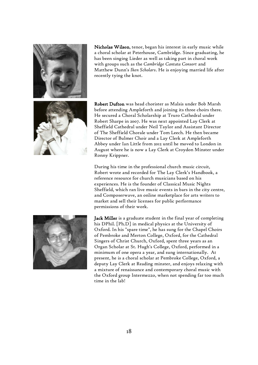

Nicholas Wilson, tenor, began his interest in early music while a choral scholar at Peterhouse, Cambridge. Since graduating, he has been singing Lieder as well as taking part in choral work with groups such as the *Cambridge Cantata Consort* and Matthew Dunn's *Iken Scholars*. He is enjoying married life after recently tying the knot.



Robert Dufton was head chorister as Malsis under Bob Marsh before attending Ampleforth and joining its three choirs there. He secured a Choral Scholarship at Truro Cathedral under Robert Sharpe in 2007. He was next appointed Lay Clerk at Sheffield Cathedral under Neil Taylor and Assistant Director of The Sheffield Chorale under Tom Leech. He then became Director of Bulmer Choir and a Lay Clerk at Ampleforth Abbey under Ian Little from 2012 until he moved to London in August where he is now a Lay Clerk at Croydon Minster under Ronny Krippner.

During his time in the professional church music circuit, Robert wrote and recorded for The Lay Clerk's Handbook, a reference resource for church musicians based on his experiences. He is the founder of Classical Music Nights Sheffield, which ran live music events in bars in the city centre, and Composerwave, an online marketplace for arts writers to market and sell their licenses for public performance permissions of their work.



Jack Miller is a graduate student in the final year of completing his DPhil. [Ph.D] in medical physics at the University of Oxford. In his "spare time", he has sung for the Chapel Choirs of Pembroke and Merton College, Oxford, for the Cathedral Singers of Christ Church, Oxford, spent three years as an Organ Scholar at St. Hugh's College, Oxford, performed in a minimum of one opera a year, and sung internationally. At present, he is a choral scholar at Pembroke College, Oxford, a deputy Lay Clerk at Reading minster, and enjoys relaxing with a mixture of renaissance and contemporary choral music with the Oxford group Intermezzo, when not spending far too much time in the lab!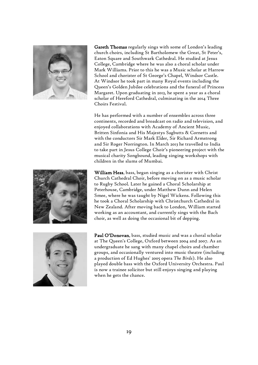

Gareth Thomas regularly sings with some of London's leading church choirs, including St Bartholomew the Great, St Peter's, Eaton Square and Southwark Cathedral. He studied at Jesus College, Cambridge where he was also a choral scholar under Mark Williams. Prior to this he was a Music scholar at Harrow School and chorister of St George's Chapel, Windsor Castle. At Windsor he took part in many Royal events including the Queen's Golden Jubilee celebrations and the funeral of Princess Margaret. Upon graduating in 2013, he spent a year as a choral scholar of Hereford Cathedral, culminating in the 2014 Three Choirs Festival.

He has performed with a number of ensembles across three continents, recorded and broadcast on radio and television, and enjoyed collaborations with Academy of Ancient Music, Britten Sinfonia and His Majestys Sagbutts & Cornetts and with the conductors Sir Mark Elder, Sir Richard Armstrong and Sir Roger Norrington. In March 2013 he travelled to India to take part in Jesus College Choir's pioneering project with the musical charity Songbound, leading singing workshops with children in the slums of Mumbai.

William Hess, bass, began singing as a chorister with Christ Church Cathedral Choir, before moving on as a music scholar to Rugby School. Later he gained a Choral Scholarship at Peterhouse, Cambridge, under Matthew Dunn and Helen Smee, where he was taught by Nigel Wickens. Following this he took a Choral Scholarship with Christchurch Cathedral in New Zealand. After moving back to London, William started working as an accountant, and currently sings with the Bach choir, as well as doing the occasional bit of depping.



Paul O'Donovan, bass, studied music and was a choral scholar at The Queen's College, Oxford between 2004 and 2007. As an undergraduate he sang with many chapel choirs and chamber groups, and occasionally ventured into music theatre (including a production of Ed Hughes' 2005 opera *The Birds*). He also played double bass with the Oxford University Orchestra. Paul is now a trainee solicitor but still enjoys singing and playing when he gets the chance.